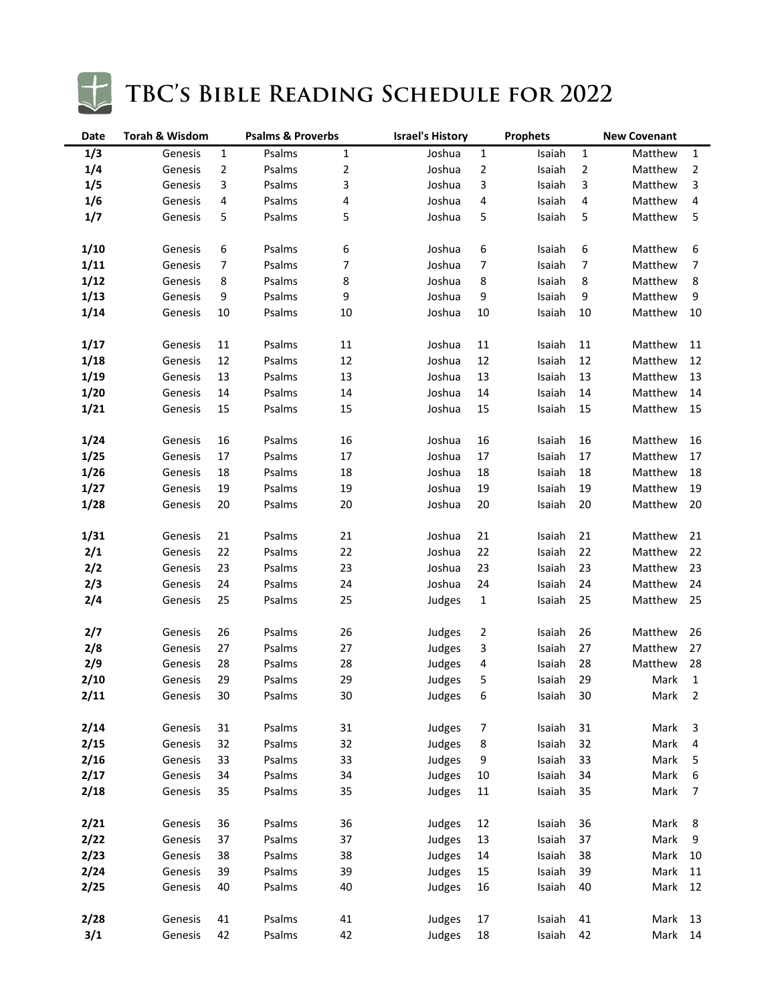

# TBC'S BIBLE READING SCHEDULE FOR 2022

| Date | <b>Torah &amp; Wisdom</b><br><b>Psalms &amp; Proverbs</b> |                | <b>Israel's History</b> | <b>Prophets</b>  |        |                | <b>New Covenant</b> |                         |         |                         |
|------|-----------------------------------------------------------|----------------|-------------------------|------------------|--------|----------------|---------------------|-------------------------|---------|-------------------------|
| 1/3  | Genesis                                                   | 1              | Psalms                  | $\mathbf 1$      | Joshua | $\mathbf{1}$   | Isaiah              | 1                       | Matthew | $\mathbf{1}$            |
| 1/4  | Genesis                                                   | $\overline{2}$ | Psalms                  | $\sqrt{2}$       | Joshua | $\mathbf{2}$   | Isaiah              | $\overline{\mathbf{c}}$ | Matthew | $\overline{2}$          |
| 1/5  | Genesis                                                   | 3              | Psalms                  | 3                | Joshua | 3              | Isaiah              | 3                       | Matthew | 3                       |
| 1/6  | Genesis                                                   | 4              | Psalms                  | 4                | Joshua | 4              | Isaiah              | 4                       | Matthew | 4                       |
| 1/7  | Genesis                                                   | 5              | Psalms                  | 5                | Joshua | 5              | Isaiah              | 5                       | Matthew | $\mathsf S$             |
|      |                                                           |                |                         |                  |        |                |                     |                         |         |                         |
| 1/10 | Genesis                                                   | 6              | Psalms                  | 6                | Joshua | 6              | Isaiah              | 6                       | Matthew | 6                       |
| 1/11 | Genesis                                                   | 7              | Psalms                  | $\boldsymbol{7}$ | Joshua | 7              | Isaiah              | 7                       | Matthew | $\boldsymbol{7}$        |
| 1/12 | Genesis                                                   | 8              | Psalms                  | 8                | Joshua | 8              | Isaiah              | 8                       | Matthew | $\bf 8$                 |
| 1/13 | Genesis                                                   | 9              | Psalms                  | 9                | Joshua | 9              | Isaiah              | 9                       | Matthew | 9                       |
| 1/14 | Genesis                                                   | 10             | Psalms                  | 10               | Joshua | 10             | Isaiah              | 10                      | Matthew | 10                      |
|      |                                                           |                |                         |                  |        |                |                     |                         |         |                         |
| 1/17 | Genesis                                                   | 11             | Psalms                  | 11               | Joshua | 11             | Isaiah              | $11\,$                  | Matthew | 11                      |
| 1/18 | Genesis                                                   | 12             | Psalms                  | 12               | Joshua | 12             | Isaiah              | 12                      | Matthew | 12                      |
| 1/19 | Genesis                                                   | 13             | Psalms                  | 13               | Joshua | 13             | Isaiah              | 13                      | Matthew | 13                      |
| 1/20 | Genesis                                                   | 14             | Psalms                  | 14               | Joshua | 14             | Isaiah              | 14                      | Matthew | 14                      |
| 1/21 | Genesis                                                   | 15             | Psalms                  | 15               | Joshua | 15             | Isaiah              | 15                      | Matthew | 15                      |
|      |                                                           |                |                         |                  |        |                |                     |                         |         |                         |
| 1/24 | Genesis                                                   | 16             | Psalms                  | 16               | Joshua | 16             | Isaiah              | 16                      | Matthew | 16                      |
| 1/25 | Genesis                                                   | $17\,$         | Psalms                  | 17               | Joshua | 17             | Isaiah              | 17                      | Matthew | 17                      |
| 1/26 | Genesis                                                   | 18             | Psalms                  | 18               | Joshua | 18             | Isaiah              | 18                      | Matthew | 18                      |
| 1/27 | Genesis                                                   | 19             | Psalms                  | 19               | Joshua | 19             | Isaiah              | 19                      | Matthew | 19                      |
| 1/28 | Genesis                                                   | 20             | Psalms                  | 20               | Joshua | 20             | Isaiah              | 20                      | Matthew | 20                      |
|      |                                                           |                |                         |                  |        |                |                     |                         |         |                         |
| 1/31 | Genesis                                                   | 21             | Psalms                  | 21               | Joshua | 21             | Isaiah              | 21                      | Matthew | 21                      |
| 2/1  | Genesis                                                   | 22             | Psalms                  | 22               | Joshua | 22             | Isaiah              | 22                      | Matthew | 22                      |
| 2/2  | Genesis                                                   | 23             | Psalms                  | 23               | Joshua | 23             | Isaiah              | 23                      | Matthew | 23                      |
| 2/3  | Genesis                                                   | 24             | Psalms                  | 24               | Joshua | 24             | Isaiah              | 24                      | Matthew | 24                      |
| 2/4  | Genesis                                                   | 25             | Psalms                  | 25               | Judges | $\mathbf 1$    | Isaiah              | 25                      | Matthew | 25                      |
|      |                                                           |                |                         |                  |        |                |                     |                         |         |                         |
| 2/7  | Genesis                                                   | 26             | Psalms                  | 26               | Judges | $\overline{2}$ | Isaiah              | 26                      | Matthew | 26                      |
| 2/8  | Genesis                                                   | 27             | Psalms                  | 27               | Judges | 3              | Isaiah              | 27                      | Matthew | 27                      |
| 2/9  | Genesis                                                   | 28             | Psalms                  | 28               | Judges | 4              | Isaiah              | 28                      | Matthew | 28                      |
| 2/10 | Genesis                                                   | 29             | Psalms                  | 29               | Judges | 5              | Isaiah              | 29                      | Mark    | $\mathbf{1}$            |
| 2/11 | Genesis                                                   | $30\,$         | Psalms                  | $30\,$           | Judges | 6              | Isaiah              | 30                      | Mark    | $\overline{2}$          |
|      |                                                           |                |                         |                  |        |                |                     |                         |         |                         |
| 2/14 | Genesis                                                   | 31             | Psalms                  | 31               | Judges | 7              | Isaiah              | 31                      | Mark    | $\overline{3}$          |
| 2/15 | Genesis                                                   | 32             | Psalms                  | 32               | Judges | 8              | Isaiah              | 32                      | Mark    | $\overline{\mathbf{4}}$ |
| 2/16 | Genesis                                                   | 33             | Psalms                  | 33               | Judges | 9              | Isaiah              | 33                      | Mark    | $\overline{\mathbf{5}}$ |
| 2/17 | Genesis                                                   | 34             | Psalms                  | 34               | Judges | 10             | Isaiah              | 34                      | Mark    | $\boldsymbol{6}$        |
| 2/18 | Genesis                                                   | 35             | Psalms                  | 35               | Judges | 11             | Isaiah              | 35                      | Mark    | $\boldsymbol{7}$        |
|      |                                                           |                |                         |                  |        |                |                     |                         |         |                         |
| 2/21 | Genesis                                                   | 36             | Psalms                  | 36               | Judges | 12             | Isaiah              | 36                      | Mark    | 8                       |
| 2/22 | Genesis                                                   | 37             | Psalms                  | 37               | Judges | 13             | Isaiah              | 37                      | Mark    | $\boldsymbol{9}$        |
| 2/23 | Genesis                                                   | 38             | Psalms                  | 38               | Judges | 14             | Isaiah              | 38                      | Mark    | 10                      |
| 2/24 | Genesis                                                   | 39             | Psalms                  | 39               | Judges | 15             | Isaiah              | 39                      | Mark    | 11                      |
| 2/25 | Genesis                                                   | 40             | Psalms                  | 40               | Judges | 16             | Isaiah              | 40                      | Mark    | 12                      |
|      |                                                           |                |                         |                  |        |                |                     |                         |         |                         |
| 2/28 | Genesis                                                   | 41             | Psalms                  | 41               | Judges | 17             | Isaiah              | 41                      | Mark    | 13                      |
| 3/1  | Genesis                                                   | 42             | Psalms                  | 42               | Judges | 18             | Isaiah              | 42                      | Mark    | 14                      |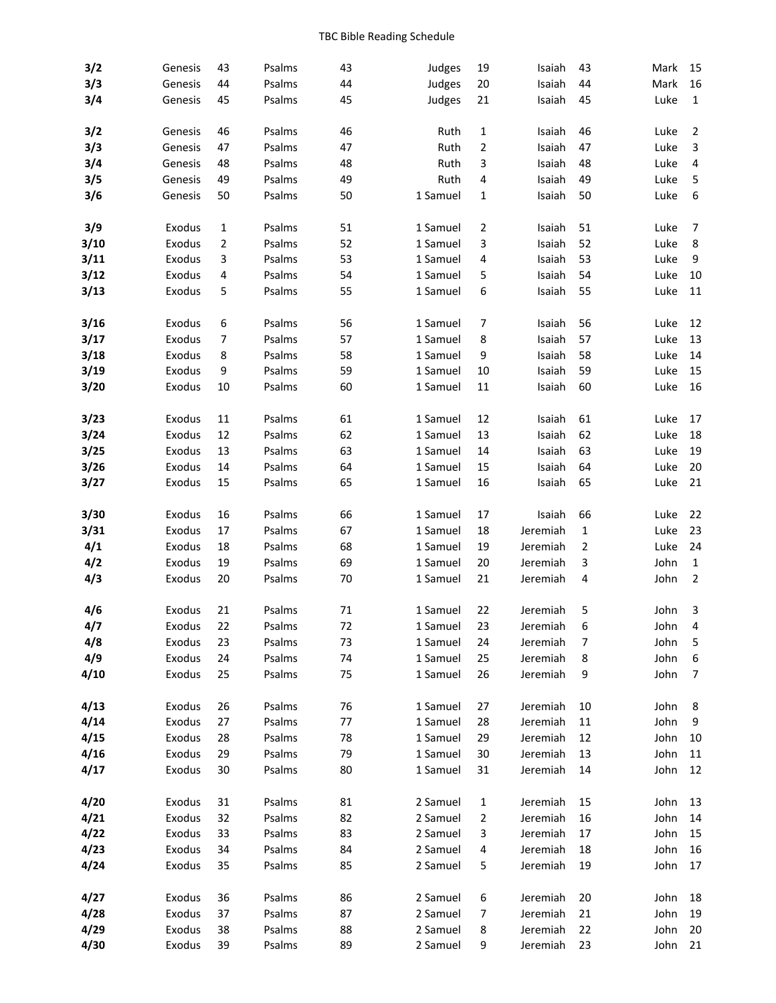| 3/2  | Genesis | 43 | Psalms | 43 | Judges   | 19             | Isaiah   | 43 | Mark | 15                      |
|------|---------|----|--------|----|----------|----------------|----------|----|------|-------------------------|
| 3/3  | Genesis | 44 | Psalms | 44 | Judges   | 20             | Isaiah   | 44 | Mark | 16                      |
| 3/4  | Genesis | 45 | Psalms | 45 | Judges   | 21             | Isaiah   | 45 | Luke | $\mathbf 1$             |
|      |         |    |        |    |          |                |          |    |      |                         |
| 3/2  | Genesis | 46 | Psalms | 46 | Ruth     | 1              | Isaiah   | 46 | Luke | $\overline{2}$          |
| 3/3  | Genesis | 47 | Psalms | 47 | Ruth     | $\overline{2}$ | Isaiah   | 47 | Luke | 3                       |
| 3/4  | Genesis | 48 | Psalms | 48 | Ruth     | 3              | Isaiah   | 48 | Luke | $\overline{\mathbf{4}}$ |
| 3/5  | Genesis | 49 | Psalms | 49 | Ruth     | 4              | Isaiah   | 49 | Luke | 5                       |
| 3/6  | Genesis | 50 | Psalms | 50 | 1 Samuel | 1              | Isaiah   | 50 | Luke | $\boldsymbol{6}$        |
| 3/9  | Exodus  | 1  | Psalms | 51 | 1 Samuel | 2              | Isaiah   | 51 | Luke | 7                       |
| 3/10 | Exodus  | 2  | Psalms | 52 | 1 Samuel | 3              | Isaiah   | 52 | Luke | $\bf 8$                 |
| 3/11 | Exodus  | 3  | Psalms | 53 | 1 Samuel | 4              | Isaiah   | 53 | Luke | $\boldsymbol{9}$        |
| 3/12 | Exodus  | 4  | Psalms | 54 | 1 Samuel | 5              | Isaiah   | 54 | Luke | 10                      |
| 3/13 | Exodus  | 5  | Psalms | 55 | 1 Samuel | 6              | Isaiah   | 55 | Luke | 11                      |
| 3/16 | Exodus  | 6  | Psalms | 56 | 1 Samuel | 7              | Isaiah   | 56 | Luke | 12                      |
| 3/17 | Exodus  | 7  | Psalms | 57 | 1 Samuel | 8              | Isaiah   | 57 | Luke | 13                      |
| 3/18 | Exodus  | 8  | Psalms | 58 | 1 Samuel | 9              | Isaiah   | 58 | Luke | 14                      |
| 3/19 | Exodus  | 9  | Psalms | 59 | 1 Samuel | 10             | Isaiah   | 59 | Luke | 15                      |
| 3/20 | Exodus  | 10 | Psalms | 60 | 1 Samuel | 11             | Isaiah   | 60 | Luke | 16                      |
|      |         |    |        |    |          |                |          |    |      |                         |
| 3/23 | Exodus  | 11 | Psalms | 61 | 1 Samuel | 12             | Isaiah   | 61 | Luke | 17                      |
| 3/24 | Exodus  | 12 | Psalms | 62 | 1 Samuel | 13             | Isaiah   | 62 | Luke | 18                      |
| 3/25 | Exodus  | 13 | Psalms | 63 | 1 Samuel | 14             | Isaiah   | 63 | Luke | 19                      |
| 3/26 | Exodus  | 14 | Psalms | 64 | 1 Samuel | 15             | Isaiah   | 64 | Luke | 20                      |
| 3/27 | Exodus  | 15 | Psalms | 65 | 1 Samuel | 16             | Isaiah   | 65 | Luke | 21                      |
| 3/30 | Exodus  | 16 | Psalms | 66 | 1 Samuel | 17             | Isaiah   | 66 | Luke | 22                      |
| 3/31 | Exodus  | 17 | Psalms | 67 | 1 Samuel | 18             | Jeremiah | 1  | Luke | 23                      |
| 4/1  | Exodus  | 18 | Psalms | 68 | 1 Samuel | 19             | Jeremiah | 2  | Luke | 24                      |
| 4/2  | Exodus  | 19 | Psalms | 69 | 1 Samuel | 20             | Jeremiah | 3  | John | $\mathbf 1$             |
| 4/3  | Exodus  | 20 | Psalms | 70 | 1 Samuel | 21             | Jeremiah | 4  | John | $\mathbf 2$             |
| 4/6  | Exodus  | 21 | Psalms | 71 | 1 Samuel | 22             | Jeremiah | 5  | John | 3                       |
| 4/7  | Exodus  | 22 | Psalms | 72 | 1 Samuel | 23             | Jeremiah |    | John | 4                       |
| 4/8  | Exodus  | 23 | Psalms | 73 | 1 Samuel | 24             | Jeremiah | 7  | John | 5                       |
| 4/9  | Exodus  | 24 | Psalms | 74 | 1 Samuel | 25             | Jeremiah | 8  | John | 6                       |
| 4/10 | Exodus  | 25 | Psalms | 75 | 1 Samuel | 26             | Jeremiah | 9  | John | $\boldsymbol{7}$        |
|      |         |    |        |    |          |                |          |    |      |                         |
| 4/13 | Exodus  | 26 | Psalms | 76 | 1 Samuel | 27             | Jeremiah | 10 | John | 8                       |
| 4/14 | Exodus  | 27 | Psalms | 77 | 1 Samuel | 28             | Jeremiah | 11 | John | 9                       |
| 4/15 | Exodus  | 28 | Psalms | 78 | 1 Samuel | 29             | Jeremiah | 12 | John | 10                      |
| 4/16 | Exodus  | 29 | Psalms | 79 | 1 Samuel | 30             | Jeremiah | 13 | John | 11                      |
| 4/17 | Exodus  | 30 | Psalms | 80 | 1 Samuel | 31             | Jeremiah | 14 | John | 12                      |
| 4/20 | Exodus  | 31 | Psalms | 81 | 2 Samuel | 1              | Jeremiah | 15 | John | 13                      |
| 4/21 | Exodus  | 32 | Psalms | 82 | 2 Samuel | $\overline{2}$ | Jeremiah | 16 | John | 14                      |
| 4/22 | Exodus  | 33 | Psalms | 83 | 2 Samuel | 3              | Jeremiah | 17 | John | 15                      |
| 4/23 | Exodus  | 34 | Psalms | 84 | 2 Samuel | 4              | Jeremiah | 18 | John | 16                      |
| 4/24 | Exodus  | 35 | Psalms | 85 | 2 Samuel | 5              | Jeremiah | 19 | John | 17                      |
| 4/27 | Exodus  | 36 | Psalms | 86 | 2 Samuel | 6              | Jeremiah | 20 | John | 18                      |
| 4/28 | Exodus  | 37 | Psalms | 87 | 2 Samuel | 7              | Jeremiah | 21 | John | 19                      |
| 4/29 | Exodus  | 38 | Psalms | 88 | 2 Samuel | 8              | Jeremiah | 22 | John | 20                      |
| 4/30 | Exodus  | 39 | Psalms | 89 | 2 Samuel | 9              | Jeremiah | 23 | John | 21                      |
|      |         |    |        |    |          |                |          |    |      |                         |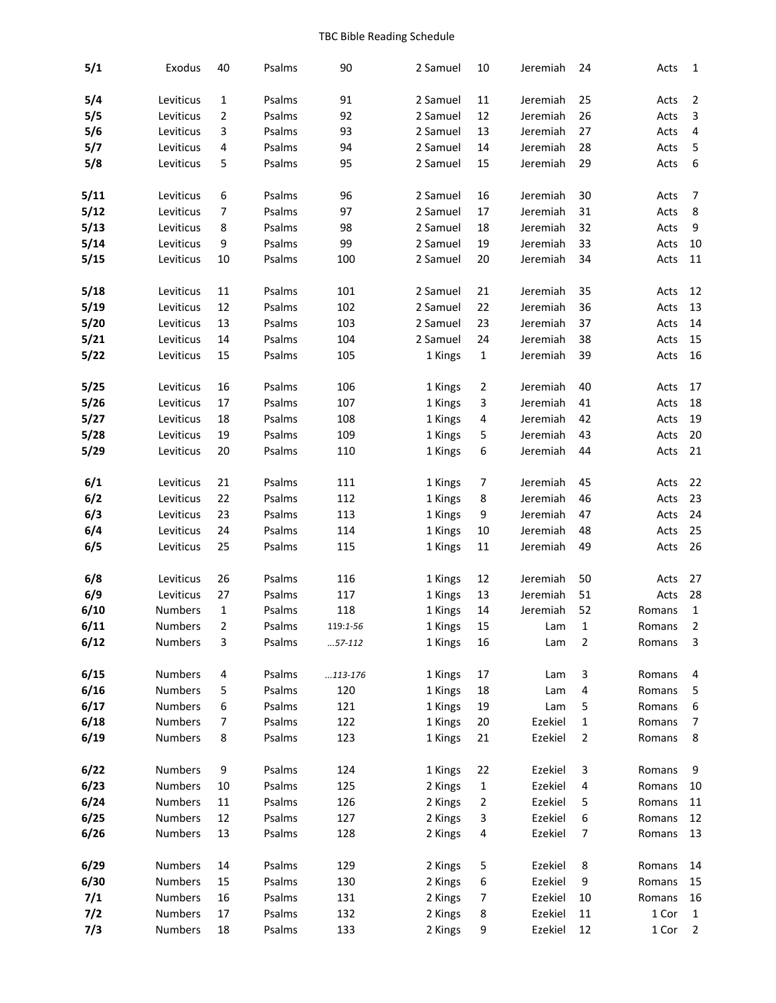| 5/1   | Exodus         | 40 | Psalms | 90        | 2 Samuel | 10             | Jeremiah | 24             | Acts   | $\mathbf{1}$            |
|-------|----------------|----|--------|-----------|----------|----------------|----------|----------------|--------|-------------------------|
| 5/4   | Leviticus      | 1  | Psalms | 91        | 2 Samuel | 11             | Jeremiah | 25             | Acts   | $\overline{2}$          |
| 5/5   | Leviticus      | 2  | Psalms | 92        | 2 Samuel | 12             | Jeremiah | 26             | Acts   | 3                       |
| 5/6   | Leviticus      | 3  | Psalms | 93        | 2 Samuel | 13             | Jeremiah | 27             | Acts   | $\overline{\mathbf{4}}$ |
| 5/7   | Leviticus      | 4  | Psalms | 94        | 2 Samuel | 14             | Jeremiah | 28             | Acts   | $\mathsf S$             |
| 5/8   | Leviticus      | 5  | Psalms | 95        | 2 Samuel | 15             | Jeremiah | 29             | Acts   | $\boldsymbol{6}$        |
|       |                |    |        |           |          |                |          |                |        |                         |
| 5/11  | Leviticus      | 6  | Psalms | 96        | 2 Samuel | 16             | Jeremiah | 30             | Acts   | 7                       |
| 5/12  | Leviticus      | 7  | Psalms | 97        | 2 Samuel | 17             | Jeremiah | 31             | Acts   | $\bf 8$                 |
| 5/13  | Leviticus      | 8  | Psalms | 98        | 2 Samuel | 18             | Jeremiah | 32             | Acts   | 9                       |
| 5/14  | Leviticus      | 9  | Psalms | 99        | 2 Samuel | 19             | Jeremiah | 33             | Acts   | 10                      |
| 5/15  | Leviticus      | 10 | Psalms | 100       | 2 Samuel | 20             | Jeremiah | 34             | Acts   | 11                      |
| 5/18  | Leviticus      | 11 | Psalms | 101       | 2 Samuel | 21             | Jeremiah | 35             | Acts   | 12                      |
| 5/19  | Leviticus      | 12 | Psalms | 102       | 2 Samuel | 22             | Jeremiah | 36             | Acts   | 13                      |
| 5/20  | Leviticus      | 13 | Psalms | 103       | 2 Samuel | 23             | Jeremiah | 37             | Acts   | 14                      |
| 5/21  | Leviticus      | 14 | Psalms | 104       | 2 Samuel | 24             | Jeremiah | 38             | Acts   | 15                      |
| 5/22  | Leviticus      | 15 | Psalms | 105       | 1 Kings  | 1              | Jeremiah | 39             | Acts   | 16                      |
|       |                |    |        |           |          |                |          |                |        |                         |
| 5/25  | Leviticus      | 16 | Psalms | 106       | 1 Kings  | $\overline{2}$ | Jeremiah | 40             | Acts   | 17                      |
| 5/26  | Leviticus      | 17 | Psalms | 107       | 1 Kings  | 3              | Jeremiah | 41             | Acts   | 18                      |
| 5/27  | Leviticus      | 18 | Psalms | 108       | 1 Kings  | 4              | Jeremiah | 42             | Acts   | 19                      |
| 5/28  | Leviticus      | 19 | Psalms | 109       | 1 Kings  | 5              | Jeremiah | 43             | Acts   | 20                      |
| 5/29  | Leviticus      | 20 | Psalms | 110       | 1 Kings  | 6              | Jeremiah | 44             | Acts   | 21                      |
| 6/1   | Leviticus      | 21 | Psalms | 111       | 1 Kings  | 7              | Jeremiah | 45             | Acts   | 22                      |
| 6/2   | Leviticus      | 22 | Psalms | 112       | 1 Kings  | 8              | Jeremiah | 46             | Acts   | 23                      |
| 6/3   | Leviticus      | 23 | Psalms | 113       | 1 Kings  | 9              | Jeremiah | 47             | Acts   | 24                      |
| 6/4   | Leviticus      | 24 | Psalms | 114       | 1 Kings  | 10             | Jeremiah | 48             | Acts   | 25                      |
| 6/5   | Leviticus      | 25 | Psalms | 115       | 1 Kings  | 11             | Jeremiah | 49             | Acts   | 26                      |
| 6/8   | Leviticus      | 26 | Psalms | 116       | 1 Kings  | 12             | Jeremiah | 50             | Acts   | 27                      |
| 6/9   | Leviticus      | 27 | Psalms | 117       | 1 Kings  | 13             | Jeremiah | 51             | Acts   | 28                      |
| 6/10  | <b>Numbers</b> | 1  | Psalms | 118       | 1 Kings  | 14             | Jeremiah | 52             | Romans | $\mathbf 1$             |
| 6/11  | <b>Numbers</b> | 2  | Psalms | 119:1-56  | 1 Kings  | 15             | Lam      | 1              | Romans | 2                       |
| 6/12  | Numbers        | 3  | Psalms | $57-112$  | 1 Kings  | 16             | Lam      | $\overline{2}$ | Romans | 3                       |
|       |                |    |        |           |          |                |          |                |        |                         |
| 6/15  | Numbers        | 4  | Psalms | $113-176$ | 1 Kings  | 17             | Lam      | 3              | Romans | 4                       |
| 6/16  | Numbers        | 5  | Psalms | 120       | 1 Kings  | 18             | Lam      | 4              | Romans | 5                       |
| 6/17  | <b>Numbers</b> | 6  | Psalms | 121       | 1 Kings  | 19             | Lam      | 5              | Romans | 6                       |
| 6/18  | Numbers        | 7  | Psalms | 122       | 1 Kings  | 20             | Ezekiel  | 1              | Romans | $\boldsymbol{7}$        |
| 6/19  | Numbers        | 8  | Psalms | 123       | 1 Kings  | 21             | Ezekiel  | 2              | Romans | 8                       |
| 6/22  | Numbers        | 9  | Psalms | 124       | 1 Kings  | 22             | Ezekiel  | 3              | Romans | 9                       |
| 6/23  | Numbers        | 10 | Psalms | 125       | 2 Kings  | 1              | Ezekiel  | 4              | Romans | 10                      |
| 6/24  | Numbers        | 11 | Psalms | 126       | 2 Kings  | 2              | Ezekiel  | 5              | Romans | 11                      |
| 6/25  | Numbers        | 12 | Psalms | 127       | 2 Kings  | 3              | Ezekiel  | 6              | Romans | 12                      |
| 6/26  | Numbers        | 13 | Psalms | 128       | 2 Kings  | 4              | Ezekiel  | 7              | Romans | 13                      |
|       |                |    |        |           |          |                |          |                |        |                         |
| 6/29  | Numbers        | 14 | Psalms | 129       | 2 Kings  | 5              | Ezekiel  | 8              | Romans | 14                      |
| 6/30  | Numbers        | 15 | Psalms | 130       | 2 Kings  | 6              | Ezekiel  | 9              | Romans | 15                      |
| 7/1   | Numbers        | 16 | Psalms | 131       | 2 Kings  | $\overline{7}$ | Ezekiel  | 10             | Romans | 16                      |
| $7/2$ | Numbers        | 17 | Psalms | 132       | 2 Kings  | 8              | Ezekiel  | 11             | 1 Cor  | $\mathbf{1}$            |
| 7/3   | Numbers        | 18 | Psalms | 133       | 2 Kings  | 9              | Ezekiel  | 12             | 1 Cor  | $\mathbf 2$             |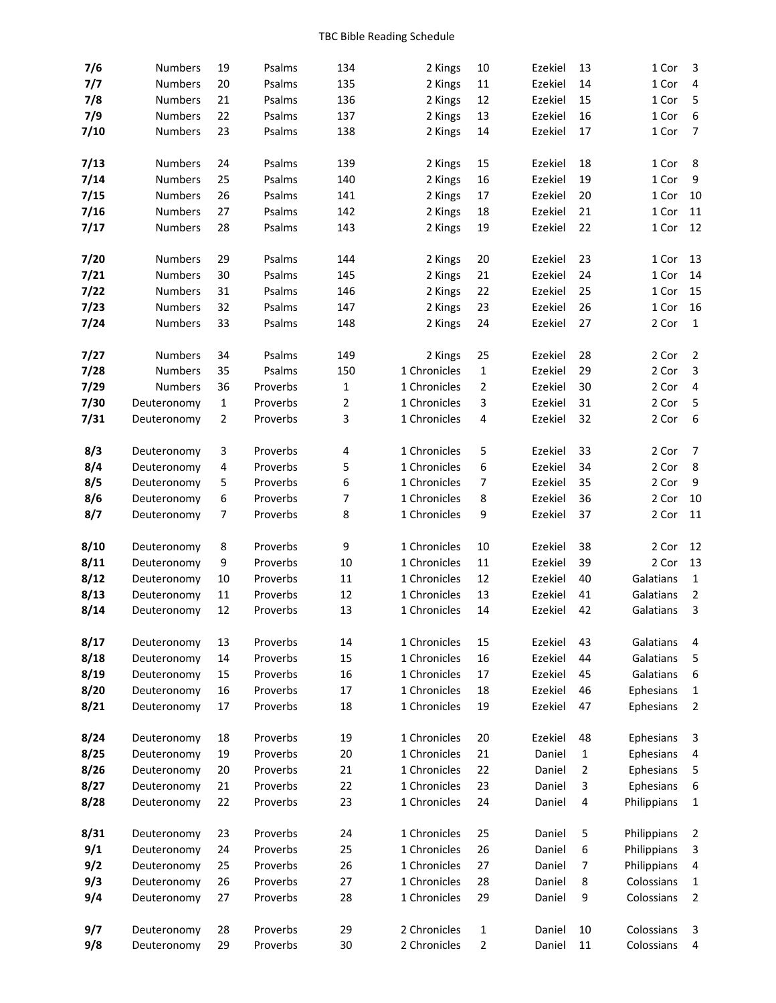| 7/6  | Numbers        | 19             | Psalms   | 134            | 2 Kings      | 10                  | Ezekiel | 13     | 1 Cor       | 3                                                    |
|------|----------------|----------------|----------|----------------|--------------|---------------------|---------|--------|-------------|------------------------------------------------------|
| 7/7  | <b>Numbers</b> | 20             | Psalms   | 135            | 2 Kings      | 11                  | Ezekiel | 14     | 1 Cor       | 4                                                    |
| 7/8  | <b>Numbers</b> | 21             | Psalms   | 136            | 2 Kings      | 12                  | Ezekiel | 15     | 1 Cor       | $\sqrt{5}$                                           |
| 7/9  | <b>Numbers</b> | 22             | Psalms   | 137            | 2 Kings      | 13                  | Ezekiel | 16     | 1 Cor       | $\boldsymbol{6}$                                     |
| 7/10 | Numbers        | 23             | Psalms   | 138            | 2 Kings      | 14                  | Ezekiel | 17     | 1 Cor       | $\overline{7}$                                       |
|      |                |                |          |                |              |                     |         |        |             |                                                      |
| 7/13 | <b>Numbers</b> | 24             | Psalms   | 139            | 2 Kings      | 15                  | Ezekiel | 18     | 1 Cor       | 8                                                    |
| 7/14 | <b>Numbers</b> | 25             | Psalms   | 140            | 2 Kings      | 16                  | Ezekiel | 19     | 1 Cor       | $\boldsymbol{9}$                                     |
| 7/15 | <b>Numbers</b> | 26             | Psalms   | 141            | 2 Kings      | 17                  | Ezekiel | 20     | 1 Cor       | 10                                                   |
| 7/16 | Numbers        | 27             | Psalms   | 142            | 2 Kings      | 18                  | Ezekiel | 21     | 1 Cor       | 11                                                   |
| 7/17 | Numbers        | 28             | Psalms   | 143            | 2 Kings      | 19                  | Ezekiel | 22     | 1 Cor       | 12                                                   |
|      |                |                |          |                |              |                     |         |        |             |                                                      |
| 7/20 | Numbers        | 29             | Psalms   | 144            | 2 Kings      | 20                  | Ezekiel | 23     | 1 Cor       | 13                                                   |
| 7/21 | <b>Numbers</b> | 30             | Psalms   | 145            | 2 Kings      | 21                  | Ezekiel | 24     | 1 Cor       | 14                                                   |
| 7/22 | <b>Numbers</b> | 31             | Psalms   | 146            | 2 Kings      | 22                  | Ezekiel | 25     | 1 Cor       | 15                                                   |
| 7/23 | <b>Numbers</b> | 32             | Psalms   | 147            | 2 Kings      | 23                  | Ezekiel | 26     | 1 Cor       | 16                                                   |
| 7/24 | Numbers        | 33             | Psalms   | 148            |              | 24                  | Ezekiel | 27     | 2 Cor       | $\mathbf{1}$                                         |
|      |                |                |          |                | 2 Kings      |                     |         |        |             |                                                      |
| 7/27 | Numbers        | 34             | Psalms   | 149            | 2 Kings      | 25                  | Ezekiel | 28     | 2 Cor       | $\overline{2}$                                       |
|      |                | 35             | Psalms   | 150            | 1 Chronicles |                     |         | 29     | 2 Cor       |                                                      |
| 7/28 | Numbers        | 36             |          |                | 1 Chronicles | 1<br>$\overline{2}$ | Ezekiel | 30     | 2 Cor       | $\ensuremath{\mathsf{3}}$<br>$\overline{\mathbf{4}}$ |
| 7/29 | Numbers        |                | Proverbs | 1              | 1 Chronicles |                     | Ezekiel |        |             |                                                      |
| 7/30 | Deuteronomy    | $\mathbf{1}$   | Proverbs | $\overline{2}$ |              | 3                   | Ezekiel | 31     | 2 Cor       | 5                                                    |
| 7/31 | Deuteronomy    | $\overline{2}$ | Proverbs | 3              | 1 Chronicles | 4                   | Ezekiel | 32     | 2 Cor       | $\boldsymbol{6}$                                     |
|      |                |                |          |                |              |                     |         |        |             |                                                      |
| 8/3  | Deuteronomy    | 3              | Proverbs | 4              | 1 Chronicles | 5                   | Ezekiel | 33     | 2 Cor       | $\overline{7}$                                       |
| 8/4  | Deuteronomy    | 4              | Proverbs | 5              | 1 Chronicles | 6                   | Ezekiel | 34     | 2 Cor       | 8                                                    |
| 8/5  | Deuteronomy    | 5              | Proverbs | 6              | 1 Chronicles | 7                   | Ezekiel | 35     | 2 Cor       | $\boldsymbol{9}$                                     |
| 8/6  | Deuteronomy    | 6              | Proverbs | 7              | 1 Chronicles | 8                   | Ezekiel | 36     | 2 Cor       | 10                                                   |
| 8/7  | Deuteronomy    | 7              | Proverbs | 8              | 1 Chronicles | 9                   | Ezekiel | 37     | 2 Cor       | 11                                                   |
|      |                |                |          |                |              |                     |         |        |             |                                                      |
| 8/10 | Deuteronomy    | 8              | Proverbs | 9              | 1 Chronicles | 10                  | Ezekiel | 38     | 2 Cor       | 12                                                   |
| 8/11 | Deuteronomy    | 9              | Proverbs | 10             | 1 Chronicles | 11                  | Ezekiel | 39     | 2 Cor       | 13                                                   |
| 8/12 | Deuteronomy    | 10             | Proverbs | $11\,$         | 1 Chronicles | 12                  | Ezekiel | 40     | Galatians   | $\mathbf 1$                                          |
| 8/13 | Deuteronomy    | 11             | Proverbs | 12             | 1 Chronicles | 13                  | Ezekiel | 41     | Galatians   | $\overline{2}$                                       |
| 8/14 | Deuteronomy    | 12             | Proverbs | 13             | 1 Chronicles | 14                  | Ezekiel | 42     | Galatians   | 3                                                    |
|      |                |                |          |                |              |                     |         |        |             |                                                      |
| 8/17 | Deuteronomy    | 13             | Proverbs | 14             | 1 Chronicles | 15                  | Ezekiel | 43     | Galatians   | 4                                                    |
| 8/18 | Deuteronomy    | 14             | Proverbs | 15             | 1 Chronicles | 16                  | Ezekiel | 44     | Galatians   | 5                                                    |
| 8/19 | Deuteronomy    | 15             | Proverbs | 16             | 1 Chronicles | 17                  | Ezekiel | 45     | Galatians   | $\boldsymbol{6}$                                     |
| 8/20 | Deuteronomy    | 16             | Proverbs | 17             | 1 Chronicles | 18                  | Ezekiel | 46     | Ephesians   | $\mathbf{1}$                                         |
| 8/21 | Deuteronomy    | 17             | Proverbs | 18             | 1 Chronicles | 19                  | Ezekiel | 47     | Ephesians   | $\overline{2}$                                       |
|      |                |                |          |                |              |                     |         |        |             |                                                      |
| 8/24 | Deuteronomy    | 18             | Proverbs | 19             | 1 Chronicles | 20                  | Ezekiel | 48     | Ephesians   | 3                                                    |
| 8/25 | Deuteronomy    | 19             | Proverbs | 20             | 1 Chronicles | 21                  | Daniel  | 1      | Ephesians   | $\overline{\mathbf{4}}$                              |
| 8/26 | Deuteronomy    | 20             | Proverbs | 21             | 1 Chronicles | 22                  | Daniel  | 2      | Ephesians   | $\mathsf S$                                          |
| 8/27 | Deuteronomy    | 21             | Proverbs | 22             | 1 Chronicles | 23                  | Daniel  | 3      | Ephesians   | $\boldsymbol{6}$                                     |
| 8/28 | Deuteronomy    | 22             | Proverbs | 23             | 1 Chronicles | 24                  | Daniel  | 4      | Philippians | $\mathbf{1}$                                         |
|      |                |                |          |                |              |                     |         |        |             |                                                      |
| 8/31 | Deuteronomy    | 23             | Proverbs | 24             | 1 Chronicles | 25                  | Daniel  | 5      | Philippians | $\overline{2}$                                       |
| 9/1  | Deuteronomy    | 24             | Proverbs | 25             | 1 Chronicles | 26                  | Daniel  | 6      | Philippians | 3                                                    |
| 9/2  | Deuteronomy    | 25             | Proverbs | 26             | 1 Chronicles | 27                  | Daniel  | 7      | Philippians | $\overline{\mathbf{4}}$                              |
| 9/3  | Deuteronomy    | 26             | Proverbs | 27             | 1 Chronicles | 28                  | Daniel  | 8      | Colossians  | $\mathbf{1}$                                         |
| 9/4  | Deuteronomy    | 27             | Proverbs | 28             | 1 Chronicles | 29                  | Daniel  | 9      | Colossians  | $\overline{2}$                                       |
|      |                |                |          |                |              |                     |         |        |             |                                                      |
| 9/7  | Deuteronomy    | 28             | Proverbs | 29             | 2 Chronicles | 1                   | Daniel  | 10     | Colossians  | 3                                                    |
| 9/8  | Deuteronomy    | 29             | Proverbs | $30\,$         | 2 Chronicles | 2                   | Daniel  | $11\,$ | Colossians  | 4                                                    |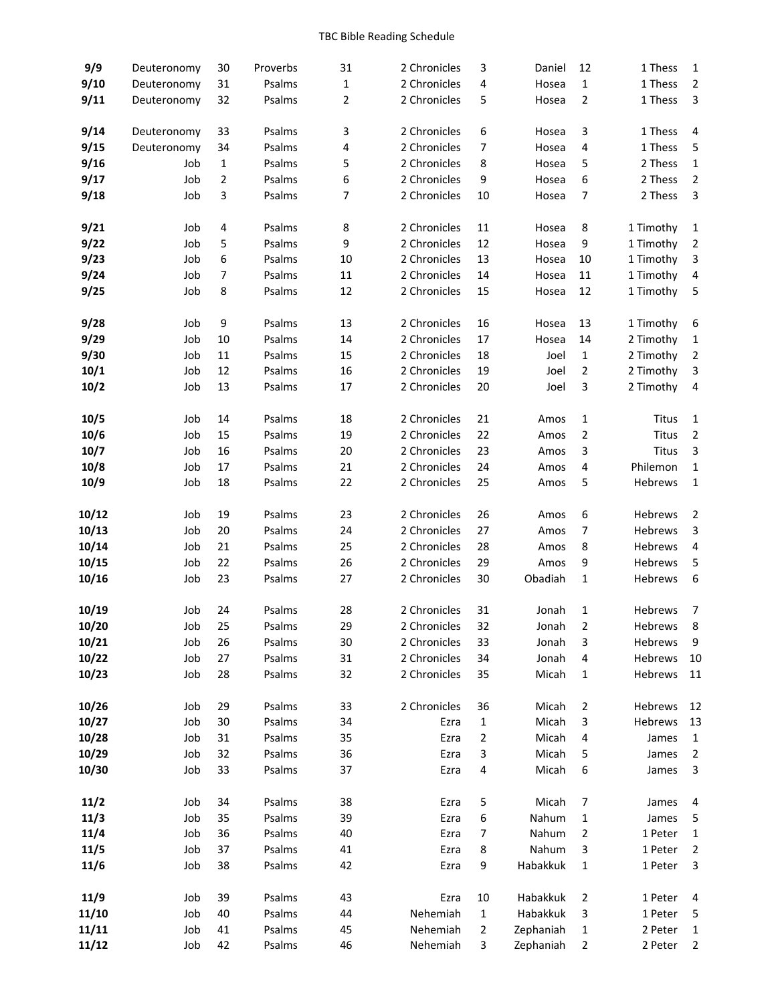| 9/9   | Deuteronomy | 30 | Proverbs | 31 | 2 Chronicles | 3              | Daniel    | 12          | 1 Thess   | $\mathbf{1}$            |
|-------|-------------|----|----------|----|--------------|----------------|-----------|-------------|-----------|-------------------------|
| 9/10  | Deuteronomy | 31 | Psalms   | 1  | 2 Chronicles | 4              | Hosea     | 1           | 1 Thess   | $\overline{2}$          |
| 9/11  | Deuteronomy | 32 | Psalms   | 2  | 2 Chronicles | 5              | Hosea     | 2           | 1 Thess   | $\mathsf 3$             |
| 9/14  | Deuteronomy | 33 | Psalms   | 3  | 2 Chronicles | 6              | Hosea     | 3           | 1 Thess   | 4                       |
| 9/15  | Deuteronomy | 34 | Psalms   | 4  | 2 Chronicles | 7              | Hosea     | 4           | 1 Thess   | $\mathsf S$             |
| 9/16  | Job         | 1  | Psalms   | 5  | 2 Chronicles | 8              | Hosea     | 5           | 2 Thess   | $\mathbf 1$             |
| 9/17  | Job         | 2  | Psalms   | 6  | 2 Chronicles | 9              | Hosea     | 6           | 2 Thess   | $\mathbf 2$             |
| 9/18  | Job         | 3  | Psalms   | 7  | 2 Chronicles | 10             | Hosea     | 7           | 2 Thess   | $\mathsf 3$             |
|       |             |    |          |    |              |                |           |             |           |                         |
| 9/21  | Job         | 4  | Psalms   | 8  | 2 Chronicles | 11             | Hosea     | 8           | 1 Timothy | $\mathbf{1}$            |
| 9/22  | Job         | 5  | Psalms   | 9  | 2 Chronicles | 12             | Hosea     | 9           | 1 Timothy | $\overline{c}$          |
| 9/23  | Job         | 6  | Psalms   | 10 | 2 Chronicles | 13             | Hosea     | 10          | 1 Timothy | 3                       |
| 9/24  | Job         | 7  | Psalms   | 11 | 2 Chronicles | 14             | Hosea     | 11          | 1 Timothy | $\overline{\mathbf{4}}$ |
| 9/25  | Job         | 8  | Psalms   | 12 | 2 Chronicles | 15             | Hosea     | 12          | 1 Timothy | 5                       |
| 9/28  | Job         | 9  | Psalms   | 13 | 2 Chronicles | 16             | Hosea     | 13          | 1 Timothy | 6                       |
| 9/29  | Job         | 10 | Psalms   | 14 | 2 Chronicles | 17             | Hosea     | 14          | 2 Timothy | 1                       |
| 9/30  | Job         | 11 | Psalms   | 15 | 2 Chronicles | 18             | Joel      | $\mathbf 1$ | 2 Timothy | $\mathbf 2$             |
| 10/1  | Job         | 12 | Psalms   | 16 | 2 Chronicles | 19             | Joel      | $\mathbf 2$ | 2 Timothy | 3                       |
| 10/2  | Job         | 13 | Psalms   | 17 | 2 Chronicles | 20             | Joel      | 3           | 2 Timothy | 4                       |
| 10/5  | Job         | 14 | Psalms   | 18 | 2 Chronicles | 21             | Amos      | 1           | Titus     | 1                       |
| 10/6  | Job         | 15 | Psalms   | 19 | 2 Chronicles | 22             | Amos      | 2           | Titus     | $\mathbf 2$             |
| 10/7  | Job         | 16 | Psalms   | 20 | 2 Chronicles | 23             | Amos      | 3           | Titus     | $\mathsf 3$             |
| 10/8  | Job         | 17 | Psalms   | 21 | 2 Chronicles | 24             | Amos      | 4           | Philemon  | $\mathbf 1$             |
| 10/9  | Job         | 18 | Psalms   | 22 | 2 Chronicles | 25             | Amos      | 5           | Hebrews   | $\mathbf 1$             |
| 10/12 | Job         | 19 | Psalms   | 23 | 2 Chronicles | 26             | Amos      | 6           | Hebrews   | $\overline{2}$          |
| 10/13 | Job         | 20 | Psalms   | 24 | 2 Chronicles | 27             | Amos      | 7           | Hebrews   | $\mathsf 3$             |
| 10/14 | Job         | 21 | Psalms   | 25 | 2 Chronicles | 28             | Amos      | 8           | Hebrews   | $\overline{\mathbf{4}}$ |
| 10/15 | Job         | 22 | Psalms   | 26 | 2 Chronicles | 29             | Amos      | 9           | Hebrews   | 5                       |
| 10/16 | Job         | 23 | Psalms   | 27 | 2 Chronicles | 30             | Obadiah   | 1           | Hebrews   | $\boldsymbol{6}$        |
| 10/19 | Job         | 24 | Psalms   | 28 | 2 Chronicles | 31             | Jonah     | 1           | Hebrews   | 7                       |
| 10/20 | Job         | 25 | Psalms   | 29 | 2 Chronicles | 32             | Jonah     | 2           | Hebrews   | 8                       |
| 10/21 | Job         | 26 | Psalms   | 30 | 2 Chronicles | 33             | Jonah     | 3           | Hebrews   | 9                       |
| 10/22 | Job         | 27 | Psalms   | 31 | 2 Chronicles | 34             | Jonah     | 4           | Hebrews   | 10                      |
| 10/23 | Job         | 28 | Psalms   | 32 | 2 Chronicles | 35             | Micah     | 1           | Hebrews   | 11                      |
| 10/26 | Job         | 29 | Psalms   | 33 | 2 Chronicles | 36             | Micah     | 2           | Hebrews   | 12                      |
| 10/27 | Job         | 30 | Psalms   | 34 | Ezra         | 1              | Micah     | 3           | Hebrews   | 13                      |
| 10/28 | Job         | 31 | Psalms   | 35 | Ezra         | 2              | Micah     | 4           | James     | $\mathbf{1}$            |
| 10/29 | Job         | 32 | Psalms   | 36 | Ezra         | 3              | Micah     | 5           | James     | $\overline{2}$          |
| 10/30 | Job         | 33 | Psalms   | 37 | Ezra         | 4              | Micah     | 6           | James     | $\mathsf 3$             |
| 11/2  | Job         | 34 | Psalms   | 38 | Ezra         | 5              | Micah     | 7           | James     | 4                       |
| 11/3  | Job         | 35 | Psalms   | 39 | Ezra         | 6              | Nahum     | 1           | James     | 5                       |
| 11/4  | Job         | 36 | Psalms   | 40 | Ezra         | 7              | Nahum     | 2           | 1 Peter   | $\mathbf 1$             |
| 11/5  | Job         | 37 | Psalms   | 41 | Ezra         | 8              | Nahum     | 3           | 1 Peter   | $\overline{c}$          |
| 11/6  | Job         | 38 | Psalms   | 42 | Ezra         | 9              | Habakkuk  | 1           | 1 Peter   | 3                       |
| 11/9  | Job         | 39 | Psalms   | 43 | Ezra         | 10             | Habakkuk  | 2           | 1 Peter   | 4                       |
| 11/10 | Job         | 40 | Psalms   | 44 | Nehemiah     | $\mathbf{1}$   | Habakkuk  | 3           | 1 Peter   | 5                       |
| 11/11 | Job         | 41 | Psalms   | 45 | Nehemiah     | $\overline{2}$ | Zephaniah | 1           | 2 Peter   | 1                       |
| 11/12 | Job         | 42 | Psalms   | 46 | Nehemiah     | 3              | Zephaniah | 2           | 2 Peter   | $\overline{2}$          |